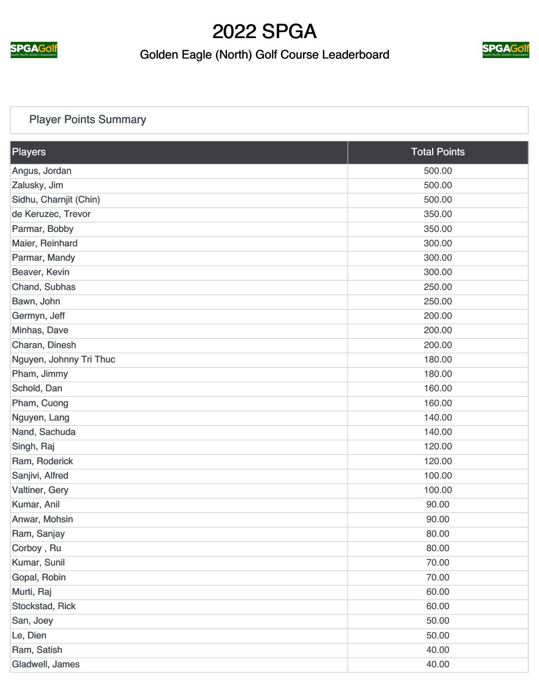

#### Golden Eagle (North) Golf Course Leaderboard



#### [Player Points Summary](https://static.golfgenius.com/v2tournaments/total_points?league_id=287068&round_id=896694)

| <b>Players</b>          | <b>Total Points</b> |
|-------------------------|---------------------|
| Angus, Jordan           | 500.00              |
| Zalusky, Jim            | 500.00              |
| Sidhu, Charnjit (Chin)  | 500.00              |
| de Keruzec, Trevor      | 350.00              |
| Parmar, Bobby           | 350.00              |
| Maier, Reinhard         | 300.00              |
| Parmar, Mandy           | 300.00              |
| Beaver, Kevin           | 300.00              |
| Chand, Subhas           | 250.00              |
| Bawn, John              | 250.00              |
| Germyn, Jeff            | 200.00              |
| Minhas, Dave            | 200.00              |
| Charan, Dinesh          | 200.00              |
| Nguyen, Johnny Tri Thuc | 180.00              |
| Pham, Jimmy             | 180.00              |
| Schold, Dan             | 160.00              |
| Pham, Cuong             | 160.00              |
| Nguyen, Lang            | 140.00              |
| Nand, Sachuda           | 140.00              |
| Singh, Raj              | 120.00              |
| Ram, Roderick           | 120.00              |
| Sanjivi, Alfred         | 100.00              |
| Valtiner, Gery          | 100.00              |
| Kumar, Anil             | 90.00               |
| Anwar, Mohsin           | 90.00               |
| Ram, Sanjay             | 80.00               |
| Corboy, Ru              | 80.00               |
| Kumar, Sunil            | 70.00               |
| Gopal, Robin            | 70.00               |
| Murti, Raj              | 60.00               |
| Stockstad, Rick         | 60.00               |
| San, Joey               | 50.00               |
| Le, Dien                | 50.00               |
| Ram, Satish             | 40.00               |
| Gladwell, James         | 40.00               |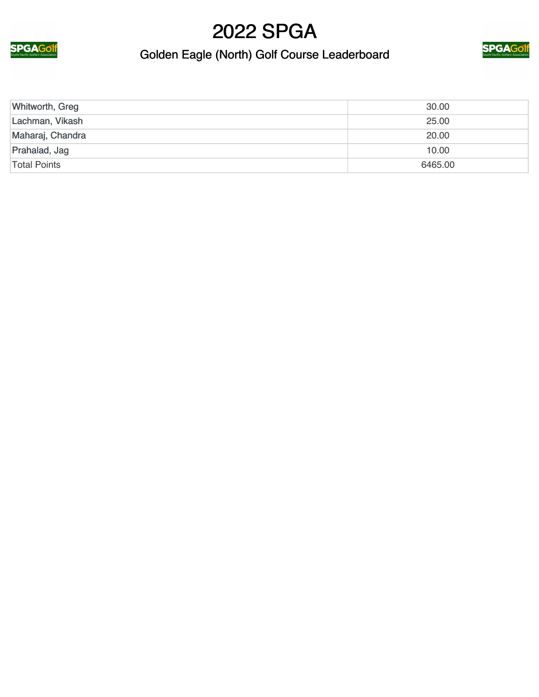



### Golden Eagle (North) Golf Course Leaderboard

| Whitworth, Greg  | 30.00   |
|------------------|---------|
| Lachman, Vikash  | 25.00   |
| Maharaj, Chandra | 20.00   |
| Prahalad, Jag    | 10.00   |
| Total Points     | 6465.00 |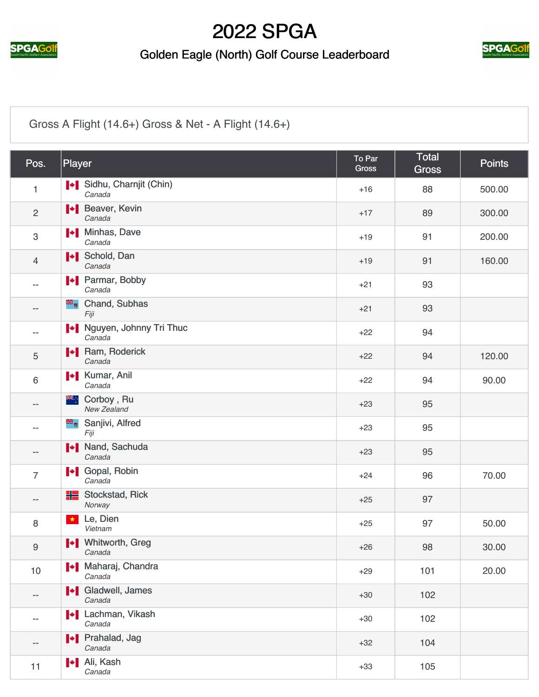

#### Golden Eagle (North) Golf Course Leaderboard



#### [Gross A Flight \(14.6+\) Gross & Net - A Flight \(14.6+\)](https://static.golfgenius.com/v2tournaments/2564215?called_from=&round_index=5)

| Pos.             | Player                                   | To Par<br><b>Gross</b> | <b>Total</b><br><b>Gross</b> | <b>Points</b> |
|------------------|------------------------------------------|------------------------|------------------------------|---------------|
| $\mathbf{1}$     | Sidhu, Charnjit (Chin)<br>Canada         | $+16$                  | 88                           | 500.00        |
| $\overline{2}$   | <b>I</b> Beaver, Kevin<br>Canada         | $+17$                  | 89                           | 300.00        |
| $\mathfrak{S}$   | <b>I</b> Minhas, Dave<br>Canada          | $+19$                  | 91                           | 200.00        |
| 4                | I Schold, Dan<br>Canada                  | $+19$                  | 91                           | 160.00        |
|                  | <b>+</b> Parmar, Bobby<br>Canada         | $+21$                  | 93                           |               |
| --               | <b>E</b> Chand, Subhas<br>Fiji           | $+21$                  | 93                           |               |
| --               | Nguyen, Johnny Tri Thuc<br>Canada        | $+22$                  | 94                           |               |
| 5                | <b>I</b> Ram, Roderick<br>Canada         | $+22$                  | 94                           | 120.00        |
| $\,6\,$          | <b>I</b> Kumar, Anil<br>Canada           | $+22$                  | 94                           | 90.00         |
| --               | <sup>₩</sup> ∵ Corboy, Ru<br>New Zealand | $+23$                  | 95                           |               |
| --               | Sanjivi, Alfred<br>Fiji                  | $+23$                  | 95                           |               |
| --               | I Nand, Sachuda<br>Canada                | $+23$                  | 95                           |               |
| $\overline{7}$   | I Gopal, Robin<br>Canada                 | $+24$                  | 96                           | 70.00         |
| --               | <b>H</b> Stockstad, Rick<br>Norway       | $+25$                  | 97                           |               |
| 8                | Le, Dien<br>$\star$<br>Vietnam           | $+25$                  | 97                           | 50.00         |
| $\boldsymbol{9}$ | Whitworth, Greg<br>Canada                | $+26$                  | 98                           | 30.00         |
| $10$             | Maharaj, Chandra<br>Canada               | $+29$                  | 101                          | 20.00         |
| --               | I Gladwell, James<br>Canada              | $+30$                  | 102                          |               |
| --               | <b>I</b> Lachman, Vikash<br>Canada       | $+30$                  | 102                          |               |
| --               | <b>+</b> Prahalad, Jag<br>Canada         | $+32$                  | 104                          |               |
| 11               | I <sup>*</sup> I Ali, Kash<br>Canada     | $+33$                  | 105                          |               |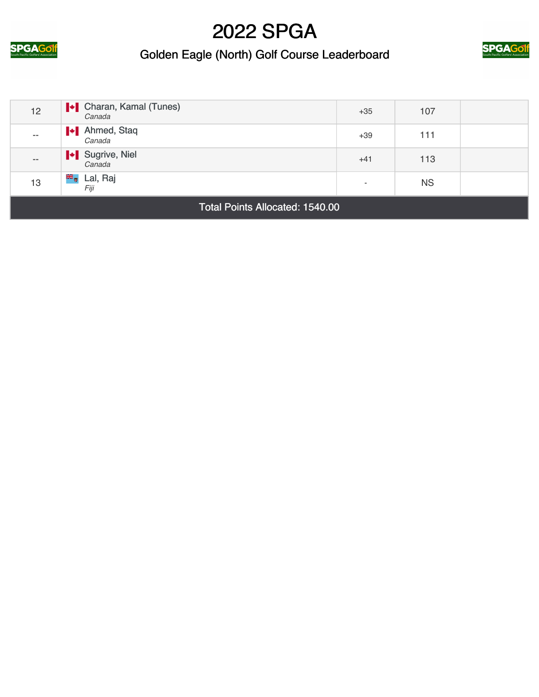

#### Golden Eagle (North) Golf Course Leaderboard



| 12                                     | <b>I</b> Charan, Kamal (Tunes)<br>Canada | $+35$                    | 107       |  |
|----------------------------------------|------------------------------------------|--------------------------|-----------|--|
| $- -$                                  | Ahmed, Staq<br>Canada                    | $+39$                    | 111       |  |
| $- -$                                  | Sugrive, Niel<br>Canada                  | $+41$                    | 113       |  |
| 13                                     | <sup>₩</sup> u Lal, Raj<br>Fiji          | $\overline{\phantom{a}}$ | <b>NS</b> |  |
| <b>Total Points Allocated: 1540.00</b> |                                          |                          |           |  |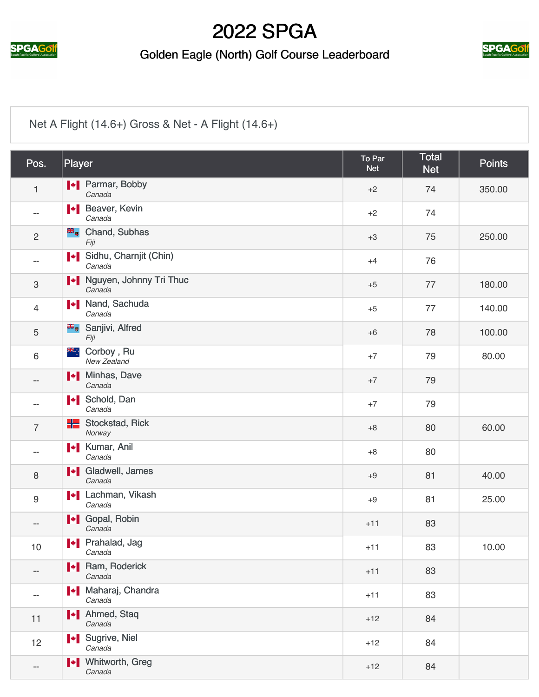

#### Golden Eagle (North) Golf Course Leaderboard



#### [Net A Flight \(14.6+\) Gross & Net - A Flight \(14.6+\)](https://static.golfgenius.com/v2tournaments/2564218?called_from=&round_index=5)

| Pos.           | Player                               | To Par<br><b>Net</b> | <b>Total</b><br><b>Net</b> | <b>Points</b> |
|----------------|--------------------------------------|----------------------|----------------------------|---------------|
| $\mathbf{1}$   | <b>+</b> Parmar, Bobby<br>Canada     | $+2$                 | 74                         | 350.00        |
| --             | <b>I</b> Beaver, Kevin<br>Canada     | $+2$                 | 74                         |               |
| $\overline{2}$ | <b>E</b> Chand, Subhas<br>Fiji       | $+3$                 | 75                         | 250.00        |
| $- -$          | Sidhu, Charnjit (Chin)<br>Canada     | $+4$                 | 76                         |               |
| $\,3$          | Nguyen, Johnny Tri Thuc<br>Canada    | $+5$                 | 77                         | 180.00        |
| $\overline{4}$ | I Nand, Sachuda<br>Canada            | $+5$                 | 77                         | 140.00        |
| 5              | Sanjivi, Alfred<br>Fiji              | $+6$                 | 78                         | 100.00        |
| 6              | Ж∴<br>Corboy, Ru<br>New Zealand      | $+7$                 | 79                         | 80.00         |
| --             | <b>I</b> Minhas, Dave<br>Canada      | $+7$                 | 79                         |               |
| --             | <b>I</b> Schold, Dan<br>Canada       | $+7$                 | 79                         |               |
| $\overline{7}$ | HE<br>Stockstad, Rick<br>Norway      | $+8$                 | 80                         | 60.00         |
| $- -$          | <b>I</b> Kumar, Anil<br>Canada       | $+8$                 | 80                         |               |
| 8              | I Gladwell, James<br>Canada          | $+9$                 | 81                         | 40.00         |
| $9\,$          | <b>I</b> Lachman, Vikash<br>Canada   | $+9$                 | 81                         | 25.00         |
| --             | <b>I</b> Gopal, Robin<br>Canada      | $+11$                | 83                         |               |
| 10             | Prahalad, Jag<br>Canada              | $+11$                | 83                         | 10.00         |
| --             | <b>I</b> Ram, Roderick<br>Canada     | $+11$                | 83                         |               |
| $- -$          | Maharaj, Chandra<br>Canada           | $+11$                | 83                         |               |
| 11             | <b>I</b> Ahmed, Staq<br>Canada       | $+12$                | 84                         |               |
| 12             | I Sugrive, Niel<br>Canada            | $+12$                | 84                         |               |
| --             | <b>I</b> + Whitworth, Greg<br>Canada | $+12$                | 84                         |               |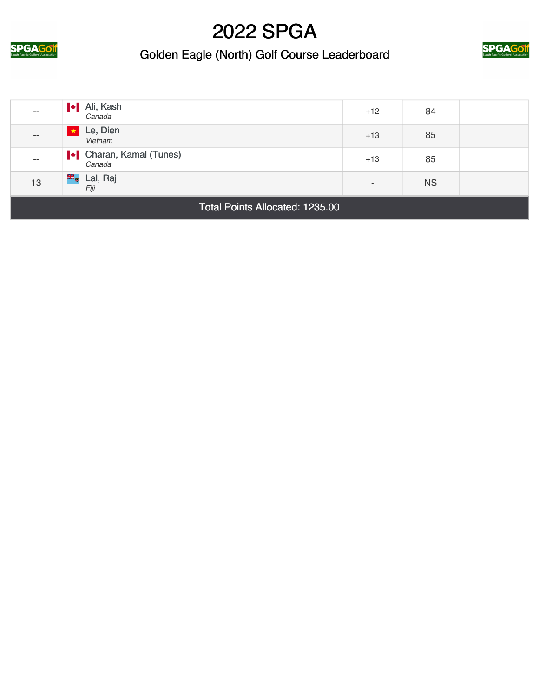

#### Golden Eagle (North) Golf Course Leaderboard



| $- -$                                  | <b>I</b> Ali, Kash<br>Canada             | $+12$                    | 84        |  |
|----------------------------------------|------------------------------------------|--------------------------|-----------|--|
| $\qquad \qquad -$                      | Le, Dien<br>Vietnam                      | $+13$                    | 85        |  |
| $- -$                                  | <b>I</b> Charan, Kamal (Tunes)<br>Canada | $+13$                    | 85        |  |
| 13                                     | <b>E</b> Lal, Raj<br>Fiji                | $\overline{\phantom{a}}$ | <b>NS</b> |  |
| <b>Total Points Allocated: 1235.00</b> |                                          |                          |           |  |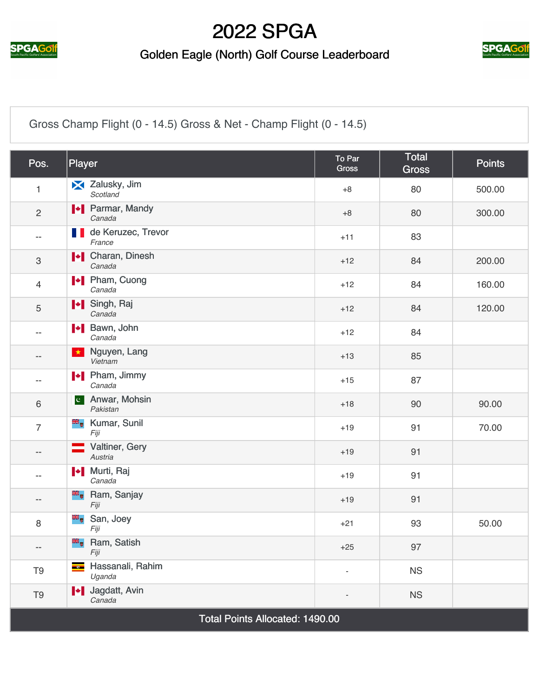

#### Golden Eagle (North) Golf Course Leaderboard



[Gross Champ Flight \(0 - 14.5\) Gross & Net - Champ Flight \(0 - 14.5\)](https://static.golfgenius.com/v2tournaments/2564214?called_from=&round_index=5)

| Pos.                            | Player                                  | To Par<br><b>Gross</b>   | Total<br><b>Gross</b> | <b>Points</b> |
|---------------------------------|-----------------------------------------|--------------------------|-----------------------|---------------|
| 1                               | Zalusky, Jim<br>Scotland                | $+8$                     | 80                    | 500.00        |
| $\mathbf{2}$                    | <b>I</b> Parmar, Mandy<br>Canada        | $+8$                     | 80                    | 300.00        |
| $- -$                           | de Keruzec, Trevor<br>M.<br>France      | $+11$                    | 83                    |               |
| $\ensuremath{\mathsf{3}}$       | <b>N</b> Charan, Dinesh<br>Canada       | $+12$                    | 84                    | 200.00        |
| $\overline{4}$                  | <b>I</b> Pham, Cuong<br>Canada          | $+12$                    | 84                    | 160.00        |
| 5                               | I Singh, Raj<br>Canada                  | $+12$                    | 84                    | 120.00        |
| $\overline{a}$                  | I Bawn, John<br>Canada                  | $+12$                    | 84                    |               |
| --                              | Nguyen, Lang<br>$\star$<br>Vietnam      | $+13$                    | 85                    |               |
| $- -$                           | <b>I</b> Pham, Jimmy<br>Canada          | $+15$                    | 87                    |               |
| $6\,$                           | c Anwar, Mohsin<br>Pakistan             | $+18$                    | 90                    | 90.00         |
| $\overline{7}$                  | <b>E</b> Kumar, Sunil<br>Fiji           | $+19$                    | 91                    | 70.00         |
| $-$                             | Valtiner, Gery<br>Austria               | $+19$                    | 91                    |               |
| $- -$                           | <b>I</b> Murti, Raj<br>Canada           | $+19$                    | 91                    |               |
| --                              | <b>E</b> Ram, Sanjay<br>Fiji            | $+19$                    | 91                    |               |
| 8                               | San, Joey<br>Fiji                       | $+21$                    | 93                    | 50.00         |
| --                              | <b>E</b> Ram, Satish<br>Fiji            | $+25$                    | 97                    |               |
| T <sub>9</sub>                  | Hassanali, Rahim<br>$\bullet$<br>Uganda | $\overline{\phantom{a}}$ | <b>NS</b>             |               |
| T <sub>9</sub>                  | + Jagdatt, Avin<br>Canada               |                          | <b>NS</b>             |               |
| Total Points Allocated: 1490.00 |                                         |                          |                       |               |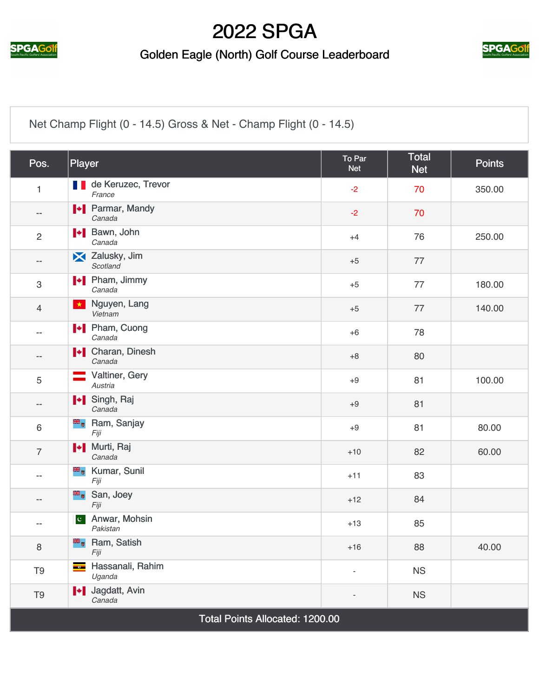

#### Golden Eagle (North) Golf Course Leaderboard



[Net Champ Flight \(0 - 14.5\) Gross & Net - Champ Flight \(0 - 14.5\)](https://static.golfgenius.com/v2tournaments/2564216?called_from=&round_index=5)

| Pos.                            | Player                                                  | To Par<br><b>Net</b> | <b>Total</b><br><b>Net</b> | <b>Points</b> |
|---------------------------------|---------------------------------------------------------|----------------------|----------------------------|---------------|
| 1                               | <b>de Keruzec, Trevor</b><br>France                     | $-2$                 | 70                         | 350.00        |
| --                              | <b>+</b> Parmar, Mandy<br>Canada                        | $-2$                 | 70                         |               |
| $\overline{2}$                  | <b>I</b> Bawn, John<br>Canada                           | $+4$                 | 76                         | 250.00        |
| $\qquad \qquad -$               | X Zalusky, Jim<br>Scotland                              | $+5$                 | 77                         |               |
| 3                               | <b>I</b> Pham, Jimmy<br>Canada                          | $+5$                 | 77                         | 180.00        |
| $\overline{4}$                  | Nguyen, Lang<br>$\star$<br>Vietnam                      | $+5$                 | 77                         | 140.00        |
| $--$                            | <b>I</b> Pham, Cuong<br>Canada                          | $+6$                 | 78                         |               |
| $\qquad \qquad -$               | <b>I</b> Charan, Dinesh<br>Canada                       | $+8$                 | 80                         |               |
| 5                               | Valtiner, Gery<br>Austria                               | $+9$                 | 81                         | 100.00        |
| $\qquad \qquad -$               | I Singh, Raj<br>Canada                                  | $+9$                 | 81                         |               |
| 6                               | <b>B</b> <sub>o</sub> Ram, Sanjay<br>Fiji               | $+9$                 | 81                         | 80.00         |
| $\overline{7}$                  | I Murti, Raj<br>Canada                                  | $+10$                | 82                         | 60.00         |
| $- -$                           | <b>E</b> Kumar, Sunil<br>Fiji                           | $+11$                | 83                         |               |
| $\qquad \qquad -$               | San, Joey<br>Fiji                                       | $+12$                | 84                         |               |
| $- -$                           | Anwar, Mohsin<br>$ {\bf c}^{\dagger} $<br>Pakistan      | $+13$                | 85                         |               |
| 8                               | <b>E</b> Ram, Satish<br>Fiji                            | $+16$                | 88                         | 40.00         |
| T <sub>9</sub>                  | Hassanali, Rahim<br>$\overline{\phantom{aa}}$<br>Uganda | ÷,                   | <b>NS</b>                  |               |
| T <sub>9</sub>                  | I Jagdatt, Avin<br>Canada                               |                      | <b>NS</b>                  |               |
| Total Points Allocated: 1200.00 |                                                         |                      |                            |               |